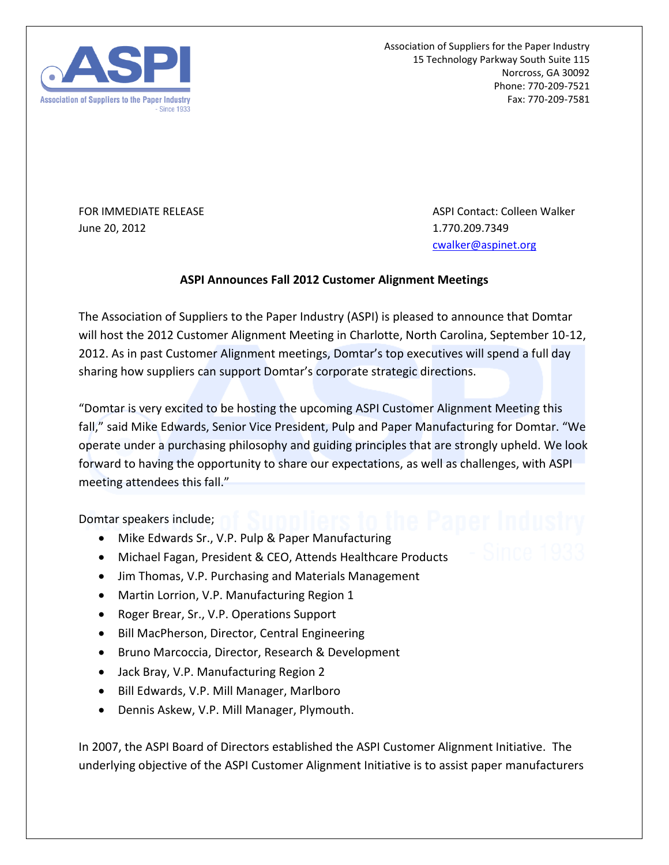

Association of Suppliers for the Paper Industry 15 Technology Parkway South Suite 115 Norcross, GA 30092 Phone: 770-209-7521 Fax: 770-209-7581

June 20, 2012 1.770.209.7349

FOR IMMEDIATE RELEASE ASPI Contact: Colleen Walker [cwalker@aspinet.org](mailto:cwalker@aspinet.org)

## **ASPI Announces Fall 2012 Customer Alignment Meetings**

The Association of Suppliers to the Paper Industry (ASPI) is pleased to announce that Domtar will host the 2012 Customer Alignment Meeting in Charlotte, North Carolina, September 10-12, 2012. As in past Customer Alignment meetings, Domtar's top executives will spend a full day sharing how suppliers can support Domtar's corporate strategic directions.

"Domtar is very excited to be hosting the upcoming ASPI Customer Alignment Meeting this fall," said Mike Edwards, Senior Vice President, Pulp and Paper Manufacturing for Domtar. "We operate under a purchasing philosophy and guiding principles that are strongly upheld. We look forward to having the opportunity to share our expectations, as well as challenges, with ASPI meeting attendees this fall."

Domtar speakers include;

- Mike Edwards Sr., V.P. Pulp & Paper Manufacturing
- Michael Fagan, President & CEO, Attends Healthcare Products
- Jim Thomas, V.P. Purchasing and Materials Management
- Martin Lorrion, V.P. Manufacturing Region 1
- Roger Brear, Sr., V.P. Operations Support
- Bill MacPherson, Director, Central Engineering
- Bruno Marcoccia, Director, Research & Development
- Jack Bray, V.P. Manufacturing Region 2
- Bill Edwards, V.P. Mill Manager, Marlboro
- Dennis Askew, V.P. Mill Manager, Plymouth.

In 2007, the ASPI Board of Directors established the ASPI Customer Alignment Initiative. The underlying objective of the ASPI Customer Alignment Initiative is to assist paper manufacturers